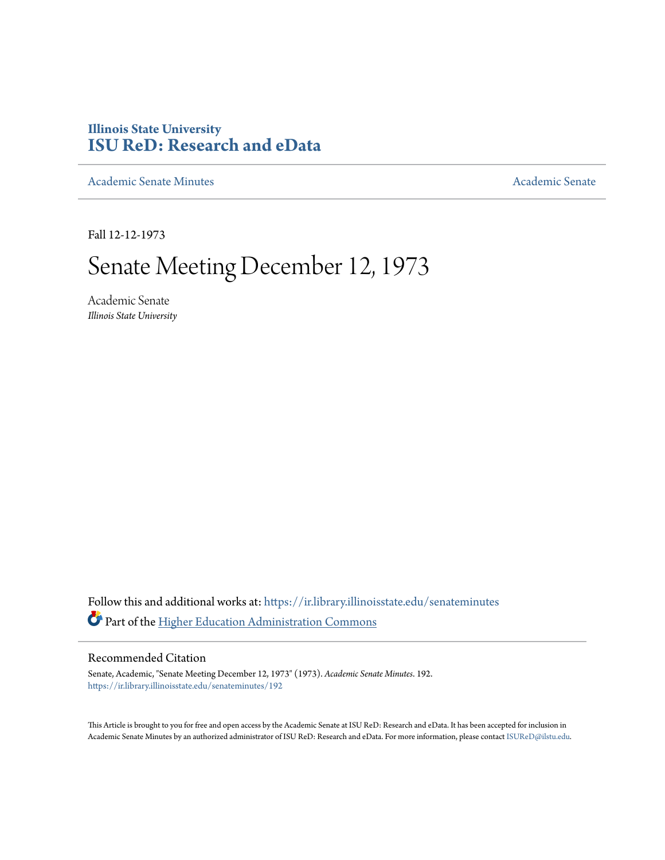## **Illinois State University [ISU ReD: Research and eData](https://ir.library.illinoisstate.edu?utm_source=ir.library.illinoisstate.edu%2Fsenateminutes%2F192&utm_medium=PDF&utm_campaign=PDFCoverPages)**

[Academic Senate Minutes](https://ir.library.illinoisstate.edu/senateminutes?utm_source=ir.library.illinoisstate.edu%2Fsenateminutes%2F192&utm_medium=PDF&utm_campaign=PDFCoverPages) [Academic Senate](https://ir.library.illinoisstate.edu/senate?utm_source=ir.library.illinoisstate.edu%2Fsenateminutes%2F192&utm_medium=PDF&utm_campaign=PDFCoverPages) Academic Senate

Fall 12-12-1973

# Senate Meeting December 12, 1973

Academic Senate *Illinois State University*

Follow this and additional works at: [https://ir.library.illinoisstate.edu/senateminutes](https://ir.library.illinoisstate.edu/senateminutes?utm_source=ir.library.illinoisstate.edu%2Fsenateminutes%2F192&utm_medium=PDF&utm_campaign=PDFCoverPages) Part of the [Higher Education Administration Commons](http://network.bepress.com/hgg/discipline/791?utm_source=ir.library.illinoisstate.edu%2Fsenateminutes%2F192&utm_medium=PDF&utm_campaign=PDFCoverPages)

#### Recommended Citation

Senate, Academic, "Senate Meeting December 12, 1973" (1973). *Academic Senate Minutes*. 192. [https://ir.library.illinoisstate.edu/senateminutes/192](https://ir.library.illinoisstate.edu/senateminutes/192?utm_source=ir.library.illinoisstate.edu%2Fsenateminutes%2F192&utm_medium=PDF&utm_campaign=PDFCoverPages)

This Article is brought to you for free and open access by the Academic Senate at ISU ReD: Research and eData. It has been accepted for inclusion in Academic Senate Minutes by an authorized administrator of ISU ReD: Research and eData. For more information, please contact [ISUReD@ilstu.edu.](mailto:ISUReD@ilstu.edu)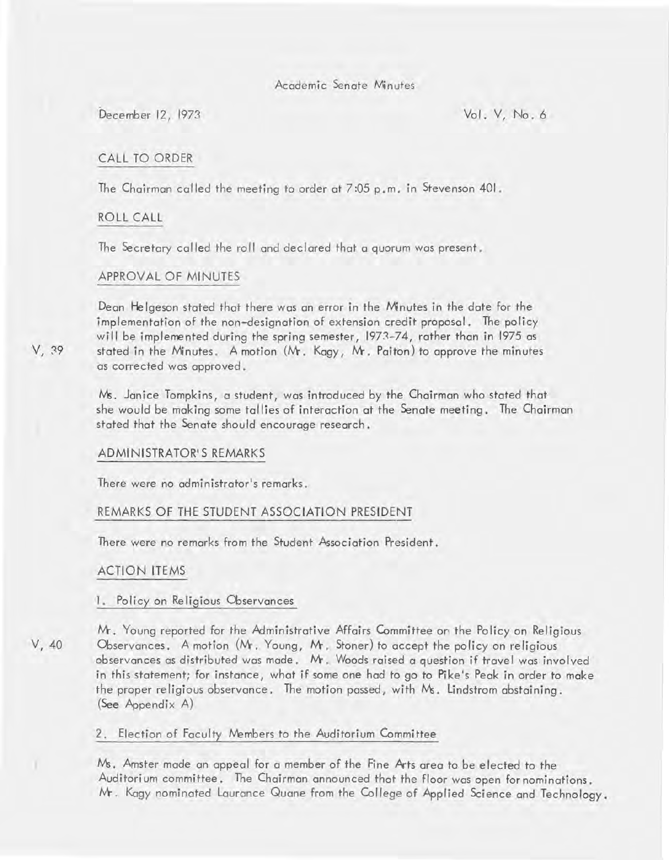Academic Senate Minutes

December 12, 1973 Vol. V, No.6

### CALL TO ORDER

The Chairman called the meeting to order at 7 :05 p. m. in Stevenson 401.

#### ROLL CALL

The Secretary called the roll and declared that a quorum was present.

#### APPROVAL OF MINUTES

Dean He Igeson stated that there was an error in the Minutes in the date for the implementation of the non-designation of extension credit proposal. The policy will be implemented during the spring semester, 1973-74, rather than in 1975 as stated in the Minutes. A motion (M. Kagy, M. Paiton) to approve the minutes as corrected was approved.

Ms. Janice Tompkins, a student, was introduced by the Chairman who stated that she would be making some tallies of interaction at the Senate meeting. The Chairman stated that the Senate should encourage research.

#### ADMINISTRATOR'S REMARKS

There were no administrator's remarks.

### REMARKS OF THE STUDENT ASSOCIATION PRESIDENT

There were no remarks from the Student Association President.

#### ACTION ITEMS

#### I. Policy on Religious Observances

V, 40

Mr. Young reported for the Administrative Affairs Committee on the Policy on Religious Observances. A motion (M. Young, M. Stoner) to accept the policy on religious observances as distributed was made. M. Woods raised a question if travel was involved in this statement; for instance, what if some one had to go to Pike's Peak in order to make the proper religious observance. The motion passed, with  $M_5$ . Lindstrom abstaining. (See Appendix A)

#### 2. Election of Faculty Members to the Auditorium Committee

Ms. Amster made an appeal for a member of the Fine Arts area to be elected to the Auditorium committee. The Chairman announced that the floor was open for nominations. M. Kagy nominated Laurance Quane from the College of Applied Science and Technology.

V, 39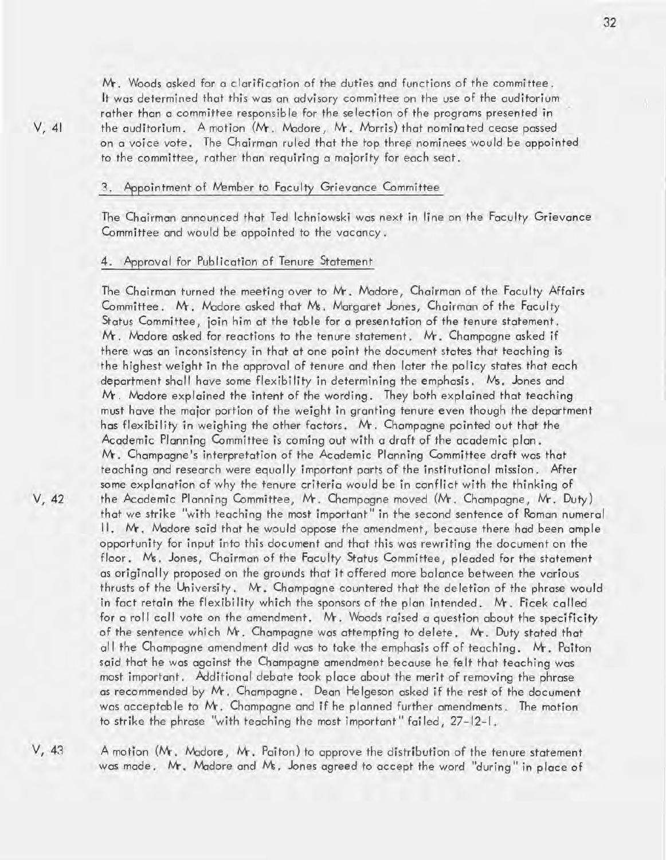M-. Woods asked for a clarification of the duties and functions of the committee. It was determined that this was an advisory committee on the use of the auditorium rather than a committee responsible for the selection of the programs presented in the auditorium. A motion (Mr. Madore, Mr. Morris) that nominated cease passed on a voice vote. The Chairman ruled that the top three nominees would be appointed to the committee, rather than requiring a majority for each seat.

#### 3. Appointment of Member to Faculty Grievance Committee

The Chairman announced that Ted Ichniowski was next in line on the Faculty Grievance Committee and would be appointed to the vacancy.

#### 4. Approval for Publication of Tenure Statement

The Chairman turned the meeting over to Mr. Madore, Chairman of the Faculty Affairs Committee. M. Madore asked that Ms. Margaret Jones, Chairman of the Faculty Status Committee, join him at the table for a presentation of the tenure statement. M. Madore asked for reactions to the tenure statement. M. Champagne asked if there was an inconsistency in that at one point the document states that teaching is the highest weight in the approval of tenure and then later the policy states that each department shall have some flexibi lity in determining the emphasis. Ws. Jones and  $Mr$ . Madore explained the intent of the wording. They both explained that teaching must have the major portion of the weight in granting tenure even though the department has flexibility in weighing the other factors. M. Champagne pointed out that the Academic Planning Committee is coming out with a draft of the academic plan. M-. Champagne's interpretation of the Academic Planning Committee draft was that teaching and research were equally important parts of the institutional mission. After some explanation of why the tenure criteria would be in conflict with the thinking of the Academic Planning Committee, M. Champagne moved (M. Champagne, M-. Duty) that we strike "with teaching the most important" in the second sentence of Roman numeral II. Mr. Madore said that he would oppose the amendment, because there had been ample opportunity for input into this document and that this was rewriting the document on the floor. Ws. Jones, Chairman of the Faculty Status Committee, pleaded for the statement as originally proposed on the grounds that it offered more balance between the various thrusts of the University. M. Champagne countered that the deletion of the phrase would in fact retain the flexibility which the sponsors of the plan intended. Mr. Ficek called for a roll call vote on the amendment. M. Woods raised a question about the specificity of the sentence which Mr. Champagne was attempting to delete. Mr. Duty stated that all the Champagne amendment did was to take the emphasis off of teaching. M. Paiton said that he was against the Champagne amendment because he felt that teaching was most important. Additional debate took place about the merit of removing the phrase as recommended by M. Champagne. Dean He Igeson asked if the rest of the document was acceptable to Mr. Champagne and if he planned further amendments. The motion to strike the phrase "with teaching the most important" failed, 27-12-1.

V, 43 A motion (Mr. Madore, Mr. Paiton) to approve the distribution of the tenure statement was made. Mr. Madore and Ms. Jones agreed to accept the word "during" in place of

V, 42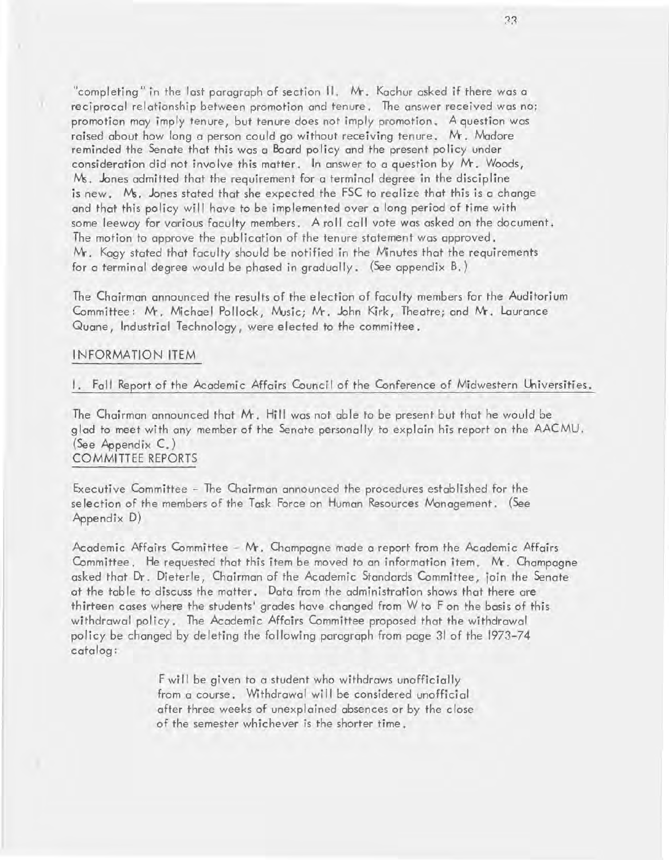"completing" in the last paragraph of section  $\Pi$ . Mr. Kachur asked if there was a reciprocal relationship between promotion and tenure. The answer received was no; promotion may imply tenure, but tenure does not imply promotion. A question was raised about how long a person could go without receiving tenure. Mr. Madore reminded the Senate that this was a Board policy and the present policy under consideration did not involve this matter. In answer to a question by M. Woods,  $N<sub>s</sub>$ . Jones admitted that the requirement for a terminal degree in the discipline is new. Ms. Jones stated that she expected the FSC to realize that this is a change and that this policy will have to be implemented over a long period of time with some leeway for various faculty members. A roll call vote was asked on the document. The motion to approve the publication of the tenure statement was approved. M-. Kagy stated that faculty should be notified in the Minutes that the requirements for a terminal degree would be phased in gradually. (See appendix B.)

The Chairman announced the results of the election of faculty members for the Auditorium Committee: Mr. Michael Pollock, Music; Mr. John Kirk, Theatre; and Mr. Laurance Quane, Industrial Technology, were elected to the committee.

#### I NFORMATION ITEM

a.

#### I. Fall Report of the Academic Affairs Council of the Conference of Midwestern Universities.

The Chairman announced that  $Mr$ . Hill was not able to be present but that he would be glad to meet with any member of the Senate personally to explain his report on the AACMU. (See Appendix C.) COMMITTEE REPORTS

Executive Committee - The Chairman announced the procedures established for the se lection of the members of the Task Force on Human Resources Management. (See Appendix D)

Academic Affairs Committee -  $Mr$ . Champagne made a report from the Academic Affairs Committee. He requested that this item be moved to an information item. Mr. Champagne asked that Dr. Dieterle, Chairman of the Academic Standards Committee, join the Senate at the table to discuss the matter. Data from the administration shows that there are thirteen cases where the students' grades have changed from W to F on the basis of this withdrawal policy. The Academic Affairs Committee proposed that the withdrawal policy be changed by de leting the following paragraph from page 31 of the 1973-74 catalog:

> F will be given to a student who withdraws unofficially from a course. Withdrawal will be considered unofficial after three weeks of unexplained absences or by the close of the semester whichever is the shorter time.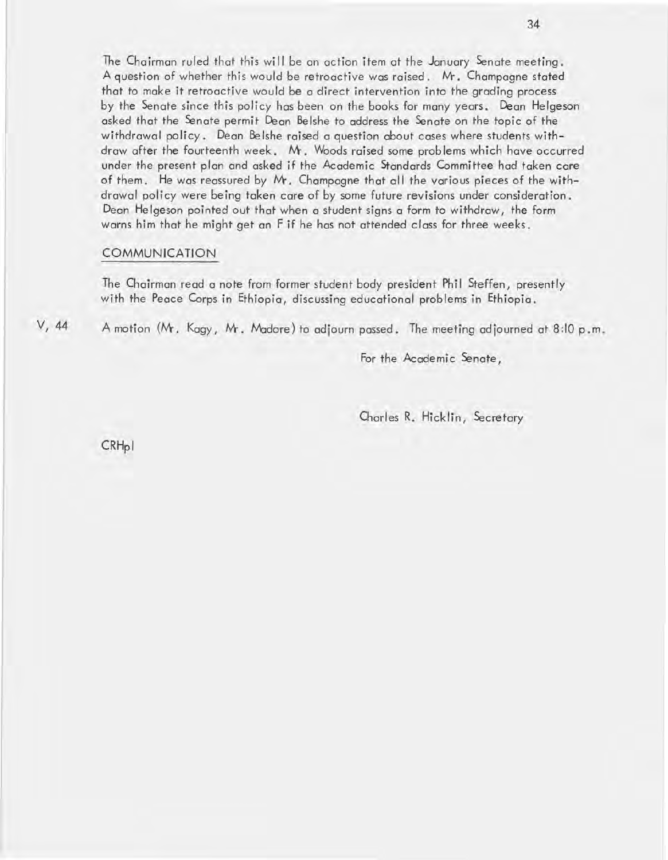The Chairman ruled that this will be an action item at the January Senate meeting. A question of whether this would be retroactive was raised. M. Champagne stated that to make it retroactive would be a direct intervention into the grading process by the Senate since this policy has been on the books for many years. Dean Helgeson asked that the Senate permit Dean Belshe to address the Senate on the topic of the withdrawal policy. Dean Belshe raised a question about cases where students withdraw after the fourteenth week. M. Woods raised some problems which have occurred under the present plan and asked if the Academic Standards Committee had taken care of them. He was reassured by M. Champagne that all the various pieces of the withdrawal policy were being taken care of by some future revisions under consideration. Dean He Igeson pointed out that when a student signs a form to withdraw, the form warns him that he might get an F if he has not attended class for three weeks.

#### COMMUNICATION

The Chairman read a note from former student body president Phil Steffen, presently with the Peace Corps in Ethiopia, discussing educational problems in Ethiopia.

V, 44 A motion (M. Kagy, M. Madore) to adjourn passed. The meeting ad journed at 8 :10 p. m.

For the Academic Senate,

Charles R. Hicklin, Secretary

CRH<sub>pl</sub>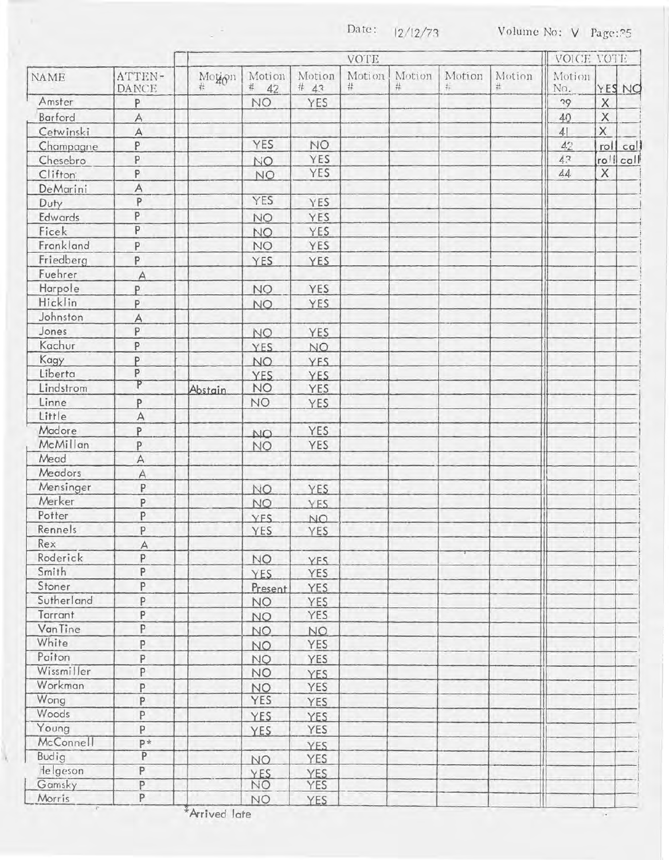Date:  $12/12/73$  Volume No: V Page: ?5

|             | ATTEN-<br>DANCE | <b>VOTE</b> |                  |                  |             |                |             |             | VOICE VOTE    |             |           |
|-------------|-----------------|-------------|------------------|------------------|-------------|----------------|-------------|-------------|---------------|-------------|-----------|
| <b>NAME</b> |                 | Motion<br>壮 | Motion<br># $42$ | Motion<br># $43$ | Motion<br># | Motion<br>$\#$ | Motion<br>硩 | Motion<br>栞 | Motion<br>No. |             | YES NO    |
| Amster      | P               |             | NO.              | YES              |             |                |             |             | 29            | X           |           |
| Barford     | A               |             |                  |                  |             |                |             |             | 40            | X           |           |
| Cetwinski   | $\forall$       |             |                  |                  |             |                |             |             | 41            | $\mathsf X$ |           |
| Champagne   | P               |             | YES              | NO.              |             |                |             |             | 42            |             | roll call |
| Chesebro    | P               |             | <b>NO</b>        | YES              |             |                |             |             | 4.3           | roll call   |           |
| Clifton     | P               |             | NO.              | <b>YES</b>       |             |                |             |             | $\Delta A$    | $\times$    |           |
| DeMarini    | A               |             |                  |                  |             |                |             |             |               |             |           |
| Duty        | P               |             | YES              | YES              |             |                |             |             |               |             |           |
| Edwards     | P               |             | <b>NO</b>        | YES              |             |                |             |             |               |             |           |
| Ficek       | $\overline{P}$  |             | NO.              | YES              |             |                |             |             |               |             |           |
| Frankland   | P               |             | <b>NO</b>        | YES              |             |                |             |             |               |             |           |
| Friedberg   | P               |             |                  |                  |             |                |             |             |               |             |           |
| Fuehrer     |                 |             | YES              | YES              |             |                |             |             |               |             |           |
|             | $\overline{A}$  |             |                  |                  |             |                |             |             |               |             |           |
| Harpole     | P               |             | <b>NO</b>        | YES              |             |                |             |             |               |             |           |
| Hicklin     | P               |             | <b>NO</b>        | <b>YES</b>       |             |                |             |             |               |             |           |
| Johnston    | $\overline{A}$  |             |                  |                  |             |                |             |             |               |             |           |
| Jones       | P               |             | NO.              | YES              |             |                |             |             |               |             |           |
| Kachur      | P               |             | <b>YES</b>       | NO.              |             |                |             |             |               |             |           |
| Kagy        | P               |             | NO.              | <b>YES</b>       |             |                |             |             |               |             |           |
| Liberta     | P               |             | <b>YES</b>       | <b>YES</b>       |             |                |             |             |               |             |           |
| Lindstrom   | P               | Abstain     | <b>NO</b>        | YES              |             |                |             |             |               |             |           |
| Linne       | P               |             | NO.              | YES              |             |                |             |             |               |             |           |
| Little      | A               |             |                  |                  |             |                |             |             |               |             |           |
| Madore      | P               |             | NO.              | YES              |             |                |             |             |               |             |           |
| McMillan    | P               |             | <b>NO</b>        | YES              |             |                |             |             |               |             |           |
| Mead        | A               |             |                  |                  |             |                |             |             |               |             |           |
| Meadors     | A               |             |                  |                  |             |                |             |             |               |             |           |
| Mensinger   | P               |             | NO.              | YES              |             |                |             |             |               |             |           |
| Merker      | P               |             | <b>NO</b>        | <b>YES</b>       |             |                |             |             |               |             |           |
| Potter      | P               |             | YFS.             | NO.              |             |                |             |             |               |             |           |
| Rennels     | P               |             | YES              | YES              |             |                |             |             |               |             |           |
| Rex         | A               |             |                  |                  |             |                |             |             |               |             |           |
| Roderick    | P               |             | <b>NO</b>        | YFS              |             |                |             |             |               |             |           |
| Smith       | P               |             | YES              | YES              |             |                |             |             |               |             |           |
| Stoner      | P               |             | Present          | YES              |             |                |             |             |               |             |           |
| Sutherland  | P               |             | <b>NO</b>        | YES              |             |                |             |             |               |             |           |
| Tarrant     | P               |             |                  | <b>YES</b>       |             |                |             |             |               |             |           |
| VanTine     | P               |             | <b>NO</b>        |                  |             |                |             |             |               |             |           |
| White       | P               |             | NO.              | NO.              |             |                |             |             |               |             |           |
| Paiton      |                 |             | NO.              | YES              |             |                |             |             |               |             |           |
| Wissmiller  | P<br>P          |             | <b>NO</b>        | YES              |             |                |             |             |               |             |           |
| Workman     |                 |             | <b>NO</b>        | <b>YES</b>       |             |                |             |             |               |             |           |
|             | P               |             | <b>NO</b>        | YES              |             |                |             |             |               |             |           |
| Wong        | P               |             | YES              | YES              |             |                |             |             |               |             |           |
| Woods       | P               |             | <b>YES</b>       | YES              |             |                |             |             |               |             |           |
| Young       | P               |             | <b>YES</b>       | YES              |             |                |             |             |               |             |           |
| McConnell   | p*              |             |                  | <b>YES</b>       |             |                |             |             |               |             |           |
| Budig       | P               |             | NO.              | YES              |             |                |             |             |               |             |           |
| Helgeson    | P               |             | <b>YES</b>       | <b>YES</b>       |             |                |             |             |               |             |           |
| Gamsky      | P               |             | NO.              | YES              |             |                |             |             |               |             |           |
| Morris      | P               |             | <b>NO</b>        | YES.             |             |                |             |             |               |             |           |

 $^2$ Arrived late

ĭ,

 $\sim$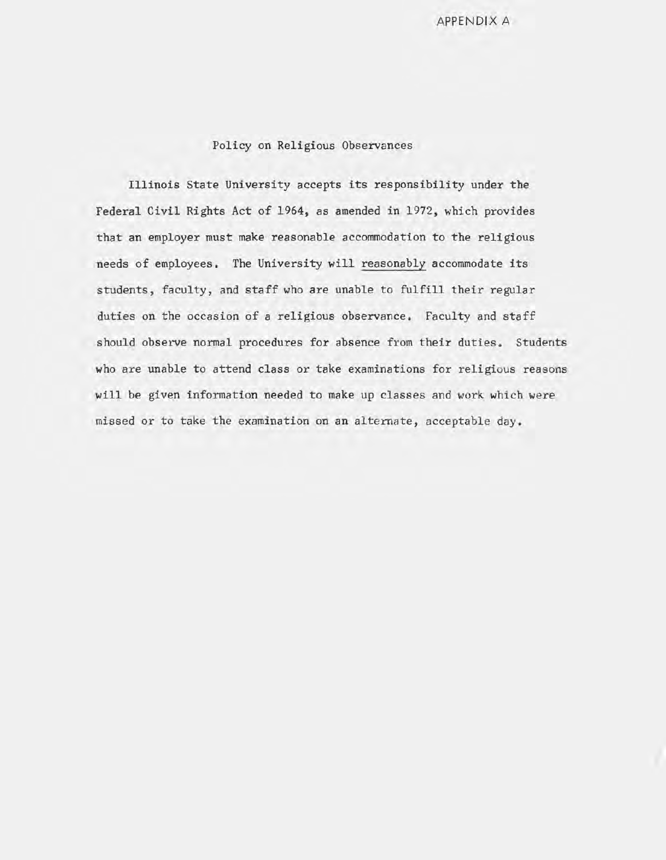APPENDIX A

#### Policy on Religious Observances

Illinois State University accepts its responsibility under the Federal Civil Rights Act of 1964, as amended in 1972, which provides that an employer must make reasonable accommodation to the religious needs of employees. The University will reasonably accommodate its students, faculty, and staff who are unable to fulfill their regular duties on the occasion of a religious observance. Faculty and staff should observe normal procedures for absence from their duties. Students who are unable to attend class or take examinations for religious reasons will be given information needed to make up classes and work which were missed or to take the examination on an alternate, acceptable day.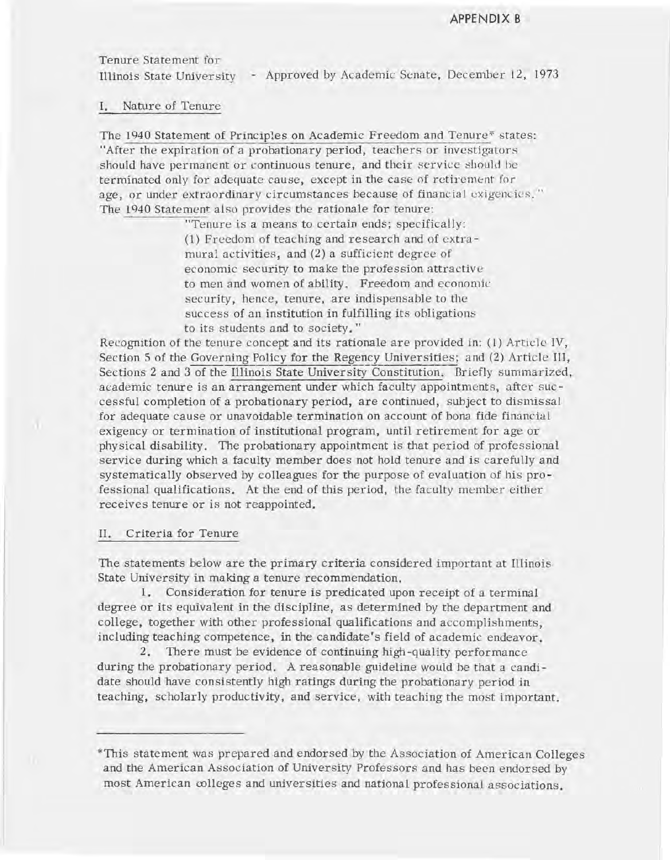Tenure Statement for

Illinois State University - Approved by Academic Senate, December 12, 1973

#### I. Nature of Tenure

The 1940 Statement of Principles on Academic Freedom and Tenure\* states: "After the expiration of a probationary period, teachers or investigators should have permanent or continuous tenure, and their service should be terminated only for adequate cause, except in the case of retirement for age, or under extraordinary circumstances because of financial exigencies." The 1940 Statement also provides the rationale for tenure:

> "Tenure is a means to certain ends; specifically: (1) Freedom of teaching and research and of extramural activities, and (2) a sufficient degree of economic security to make the profession attractive to men and women of ability. Freedom and economic security, hence, tenure, are indispensable to the success of an institution in fulfilling its obligations to its students and to society."

Recognition of the tenure concept and its rationale are provided in: (1) Article IV, Section 5 of the Governing Policy for the Regency Universities; and (2) Article III, Sections 2 and 3 of the Illinois State University Constitution. Briefly summarized, academic tenure is an arrangement under which faculty appointments, after successful completion of a probationary period, are continued, subject to dismissal for adequate cause or unavoidable termination on account of bona fide financial exigency or termination of institutional program, until retirement for age or physical disability. The probationary appointment is that period of professional service during which a faculty member does not hold tenure and is carefully and systematically observed by colleagues for the purpose of evaluation of his professional qualifications. At the end of this period, the faculty member either receives tenure or is not reappointed.

#### II. Criteria for Tenure

The statements below are the primary criteria considered important at Illinois State University in making a tenure recommendation.

1. Consideration for tenure is predicated upon receipt of a terminal degree or its equivalent in the discipline, as determined by the department and college, together with other professional qualifications and accomplishments, including teaching competence, in the candidate's field of academic endeavor.

2. There must be evidence of continuing high -quality performance during the probationary period. A reasonable guideline would be that a candidate should have consistently high ratings during the probationary period in teaching, scholarly productivity, and service, with teaching the most important.

<sup>\*</sup>This statement was prepared and endorsed by the Association of American Colleges and the American Association of University Professors and has been endorsed by most American colleges and universities and national professional associations.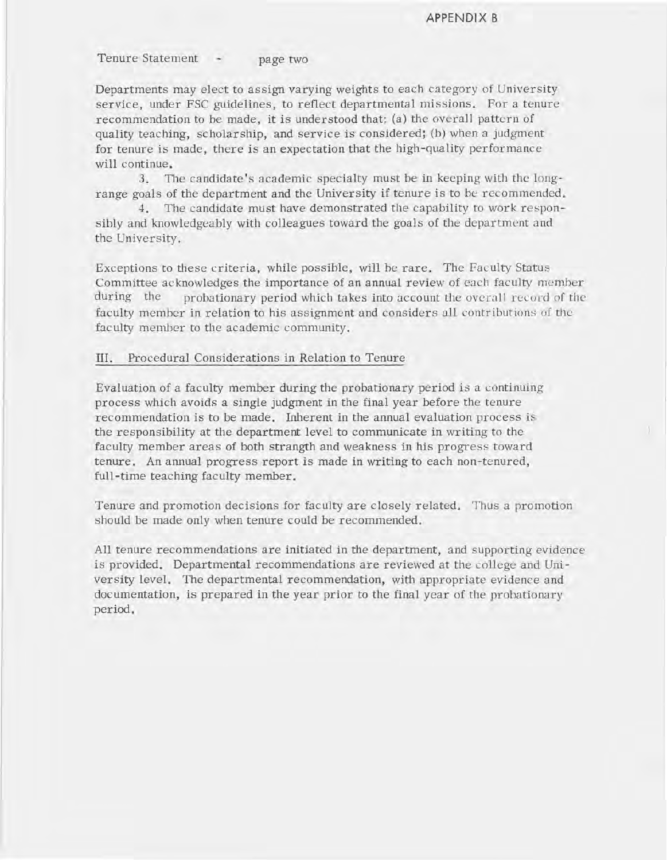Tenure Statement - page two

Departments may elect to assign varying weights to each category of University service, under FSC guidelines, to reflect departmental missions. For a tenure recommendation to be made, it is understood that: (a) the overall pattern of quality teaching, scholarship, and service is considered; (b) when a judgment for tenure is made, there is an expectation that the high-quality performance will continue.

3. The candidate's academic specialty must be in keeping with the longrange goals of the department and the University if tenure is to be recommended.

4. The candidate must have demonstrated the capability to work responsibly and knowledgeably with colleagues toward the goals of the department and the University.

Exceptions to these criteria, while possible, will he rare. The Faculty Status Committee acknowledges the importance of an annual review of each faculty member during the probationary period which takes into account the overall record of the faculty member in relation to his assignment and considers all contributions of the faculty member to the academic community.

#### III. Procedural Considerations in Relation to Tenure

Evaluation of a faculty member during the probationary period is a continuing process which avoids a single judgment in the final year before the tenure recommendation is to be made. Inherent in the annual evaluation process is the responsibility at the department level to communicate in writing to the faculty member areas of both strangth and weakness in his progress toward tenure. An annual progress report is made in writing to each non-tenured, full-time teaching faculty member.

Tenure and promotion decisions for faculty are closely related. Thus a promotion should be made only when tenure could be recommended.

All tenure recommendations are initiated in the department, and supporting evidence is provided. Departmental recommendations are reviewed at the college and University level. The departmental recommendation, with appropriate evidence and documentation, is prepared in the year prior to the final year of the probationary period.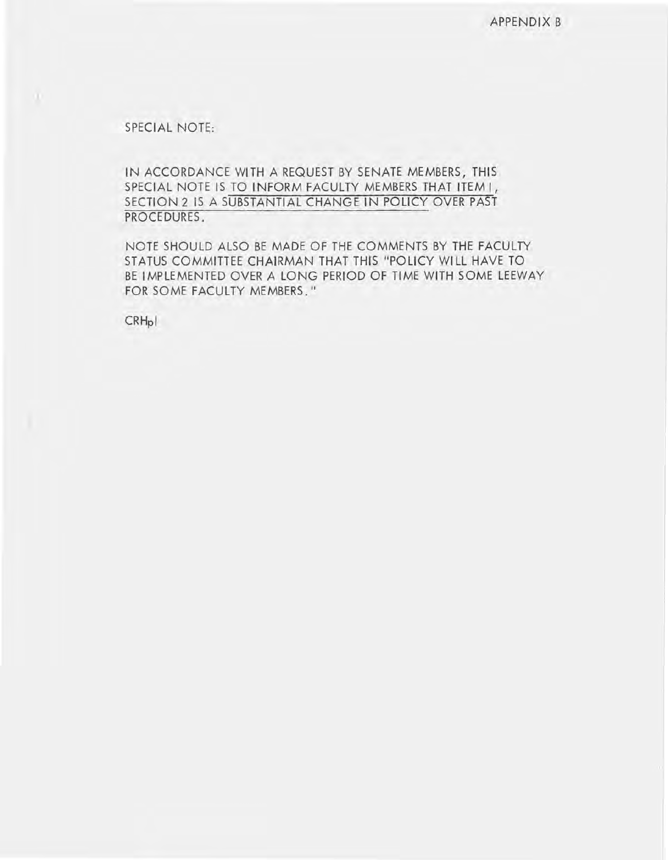SPECIAL NOTE:

 $\mathbf{u}$ 

IN ACCORDANCE WITH A REQUEST BY SENATE MEMBERS, THIS SPECIAL NOTE IS TO INFORM FACULTY MEMBERS THAT ITEM **I,**  SECTION 2 IS A SUBSTANTIAL CHANGE IN POLICY OVER PAST PROCEDURES.

NOTE SHOULD ALSO BE MADE OF THE COMMENTS BY THE FACULTY STATUS COMMITTEE CHAIRMAN THAT THIS "POLICY WILL HAVE TO BE IMPLEMENTED OVER A LONG PERIOD OF TIME WITH SOME LEEWAY FOR SOME FACULTY MEMBERS."

CRHpl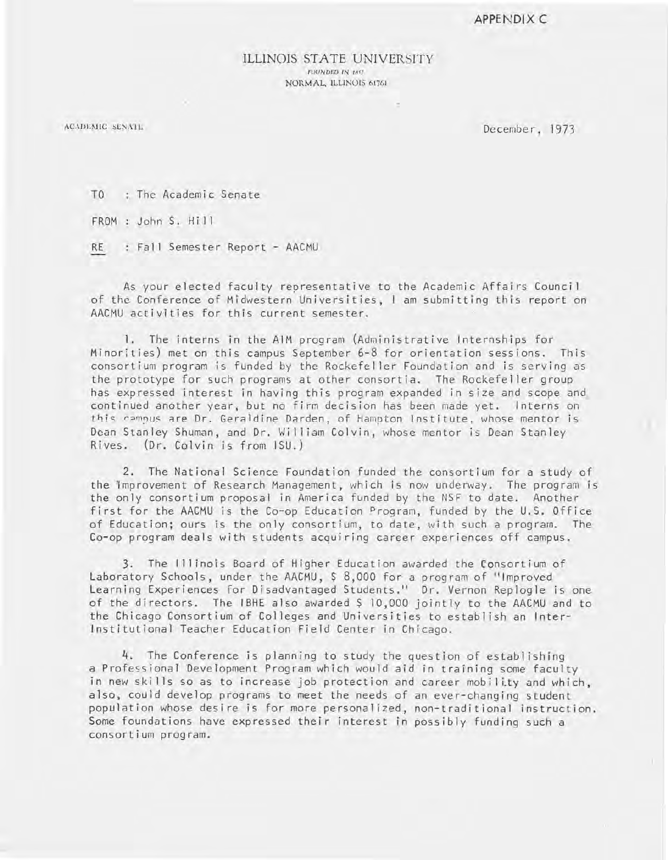#### ILLINOIS STATE UNIVERSITY FOUNDED IN 1857 NORMAL, ILLINOIS 61761

ACADEMIC SENATE

December, 1973

TO : The Academic Senate

FROM : John S. Hill

RE Fall Semester Report - AACMU

As your elected faculty representative to the Academic Affairs Council of the Conference of Midwestern Universities, I am submitting this report on AACMU activities for this current semester.

1. The interns in the AIM program (Administrative Internships for Minorities) met on this campus September 6-8 for orientation sessions. This consortium program is funded by the Rockefeller Foundation and is serving as the prototype for such programs at other consortia. The Rockefeller group has expressed interest in having this program expanded in size and scope and continued another year, but no firm decision has been made yet. Interns on this campus are Dr. Geraldine Darden, of Hampton Institute, whose mentor is Dean Stanley Shuman, and Dr. William Colvin, whose mentor is Dean Stanley Rives. (Dr. Colvin is from ISU.)

2. The National Science Foundation funded the consortium for a study of the lmprovement of Research Management, which is now underway. The program is the only consortium proposal in America funded by the NSF to date. Another first for the AACMU is the Co-op Education Program, funded by the U.S. Office of Education; ours is the only consortium, to date, with such a program. The Co-op program deals with students acquiring career experiences off campus.

3. The 111 inois Board of Higher Education awarded the Consortium of Laboratory Schools, under the AACMU, \$ 8,000 for a program of "Improved Learning Experiences for Disadvantaged Students." Dr. Vernon Replogle is one of the directors. The IBHE also awarded \$ 10,000 jointly to the AACMU and to the Chicago Consortium of Colleges and Universities to establish an Inter-Institutional Teacher Education Field Center in Chicago.

4. The Conference is planning to study the question of establishing a Professional Development Program which would aid in training some faculty in new skills so as to increase job protection and career mobility and which, also, could develop programs to meet the needs of an ever-changing student population whose desire is for more personalized, non-traditional instruction. Some foundations have expressed their interest in possibly funding such a consortium program.